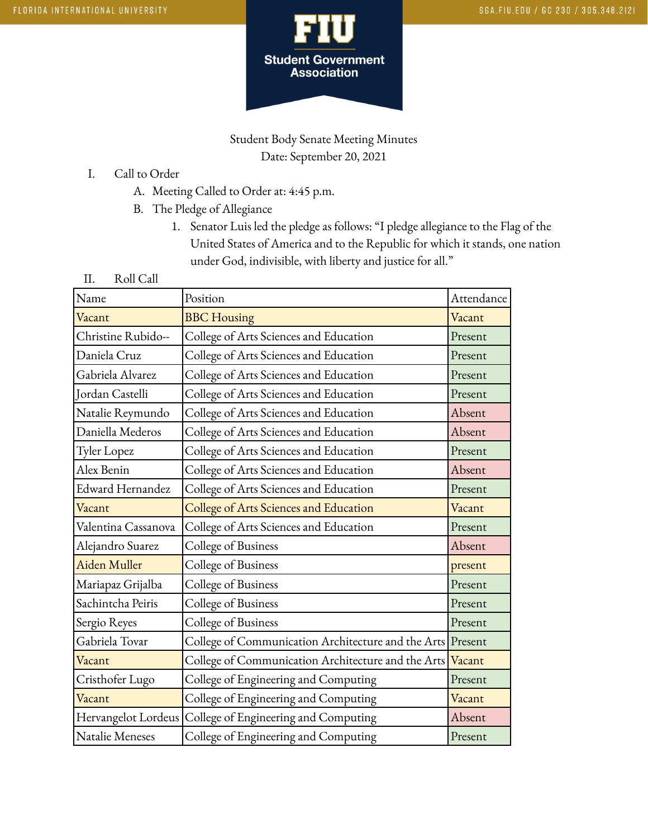

Student Body Senate Meeting Minutes Date: September 20, 2021

- I. Call to Order
	- A. Meeting Called to Order at: 4:45 p.m.
	- B. The Pledge of Allegiance
		- 1. Senator Luis led the pledge as follows: "I pledge allegiance to the Flag of the United States of America and to the Republic for which it stands, one nation under God, indivisible, with liberty and justice for all."
- II. Roll Call

| Name                | Position                                                   | Attendance |
|---------------------|------------------------------------------------------------|------------|
| Vacant              | <b>BBC</b> Housing                                         | Vacant     |
| Christine Rubido--  | College of Arts Sciences and Education                     | Present    |
| Daniela Cruz        | College of Arts Sciences and Education                     | Present    |
| Gabriela Alvarez    | College of Arts Sciences and Education                     | Present    |
| Jordan Castelli     | College of Arts Sciences and Education                     | Present    |
| Natalie Reymundo    | College of Arts Sciences and Education                     | Absent     |
| Daniella Mederos    | College of Arts Sciences and Education                     | Absent     |
| Tyler Lopez         | College of Arts Sciences and Education                     | Present    |
| Alex Benin          | College of Arts Sciences and Education                     | Absent     |
| Edward Hernandez    | College of Arts Sciences and Education                     | Present    |
| Vacant              | College of Arts Sciences and Education                     | Vacant     |
| Valentina Cassanova | College of Arts Sciences and Education                     | Present    |
| Alejandro Suarez    | College of Business                                        | Absent     |
| Aiden Muller        | College of Business                                        | present    |
| Mariapaz Grijalba   | College of Business                                        | Present    |
| Sachintcha Peiris   | College of Business                                        | Present    |
| Sergio Reyes        | College of Business                                        | Present    |
| Gabriela Tovar      | College of Communication Architecture and the Arts Present |            |
| Vacant              | College of Communication Architecture and the Arts         | Vacant     |
| Cristhofer Lugo     | College of Engineering and Computing                       | Present    |
| Vacant              | College of Engineering and Computing                       | Vacant     |
| Hervangelot Lordeus | College of Engineering and Computing                       | Absent     |
| Natalie Meneses     | College of Engineering and Computing                       | Present    |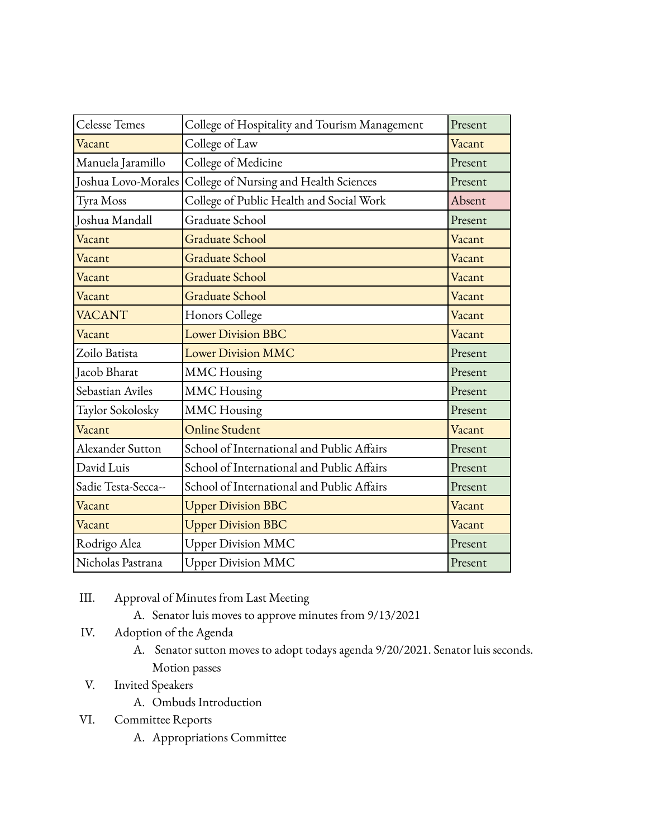| Celesse Temes       | College of Hospitality and Tourism Management | Present |
|---------------------|-----------------------------------------------|---------|
| Vacant              | College of Law                                | Vacant  |
| Manuela Jaramillo   | College of Medicine                           | Present |
| Joshua Lovo-Morales | College of Nursing and Health Sciences        | Present |
| Tyra Moss           | College of Public Health and Social Work      | Absent  |
| Joshua Mandall      | Graduate School                               | Present |
| Vacant              | <b>Graduate School</b>                        | Vacant  |
| Vacant              | <b>Graduate School</b>                        | Vacant  |
| Vacant              | <b>Graduate School</b>                        | Vacant  |
| Vacant              | <b>Graduate School</b>                        | Vacant  |
| <b>VACANT</b>       | Honors College                                | Vacant  |
| Vacant              | <b>Lower Division BBC</b>                     | Vacant  |
| Zoilo Batista       | <b>Lower Division MMC</b>                     | Present |
| Jacob Bharat        | <b>MMC</b> Housing                            | Present |
| Sebastian Aviles    | <b>MMC</b> Housing                            | Present |
| Taylor Sokolosky    | <b>MMC</b> Housing                            | Present |
| Vacant              | Online Student                                | Vacant  |
| Alexander Sutton    | School of International and Public Affairs    | Present |
| David Luis          | School of International and Public Affairs    | Present |
| Sadie Testa-Secca-- | School of International and Public Affairs    | Present |
| Vacant              | <b>Upper Division BBC</b>                     | Vacant  |
| Vacant              | <b>Upper Division BBC</b>                     | Vacant  |
| Rodrigo Alea        | <b>Upper Division MMC</b>                     | Present |
| Nicholas Pastrana   | <b>Upper Division MMC</b>                     | Present |

- III. Approval of Minutes from Last Meeting
	- A. Senator luis moves to approve minutes from 9/13/2021
- IV. Adoption of the Agenda
	- A. Senator sutton moves to adopt todays agenda 9/20/2021. Senator luis seconds. Motion passes
- V. Invited Speakers
	- A. Ombuds Introduction
- VI. Committee Reports
	- A. Appropriations Committee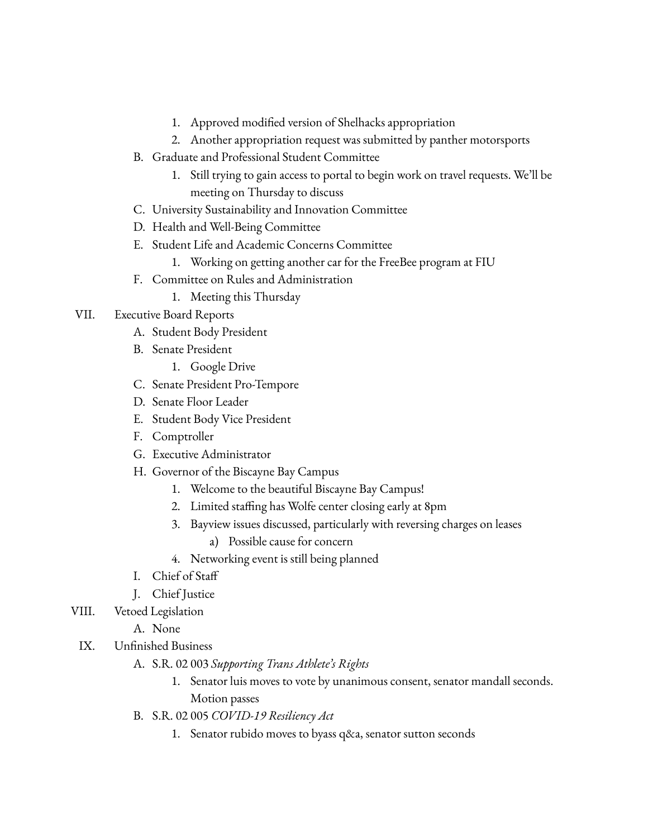- 1. Approved modified version of Shelhacks appropriation
- 2. Another appropriation request was submitted by panther motorsports
- B. Graduate and Professional Student Committee
	- 1. Still trying to gain access to portal to begin work on travel requests. We'll be meeting on Thursday to discuss
- C. University Sustainability and Innovation Committee
- D. Health and Well-Being Committee
- E. Student Life and Academic Concerns Committee
	- 1. Working on getting another car for the FreeBee program at FIU
- F. Committee on Rules and Administration
	- 1. Meeting this Thursday

## VII. Executive Board Reports

- A. Student Body President
- B. Senate President
	- 1. Google Drive
- C. Senate President Pro-Tempore
- D. Senate Floor Leader
- E. Student Body Vice President
- F. Comptroller
- G. Executive Administrator
- H. Governor of the Biscayne Bay Campus
	- 1. Welcome to the beautiful Biscayne Bay Campus!
	- 2. Limited staffing has Wolfe center closing early at 8pm
	- 3. Bayview issues discussed, particularly with reversing charges on leases
		- a) Possible cause for concern
	- 4. Networking event is still being planned
- I. Chief of Staff
- J. Chief Justice
- VIII. Vetoed Legislation
	- A. None
	- IX. Unfinished Business
		- A. S.R. 02 003 *Supporting Trans Athlete's Rights*
			- 1. Senator luis moves to vote by unanimous consent, senator mandall seconds. Motion passes
		- B. S.R. 02 005 *COVID-19 Resiliency Act*
			- 1. Senator rubido moves to byass q&a, senator sutton seconds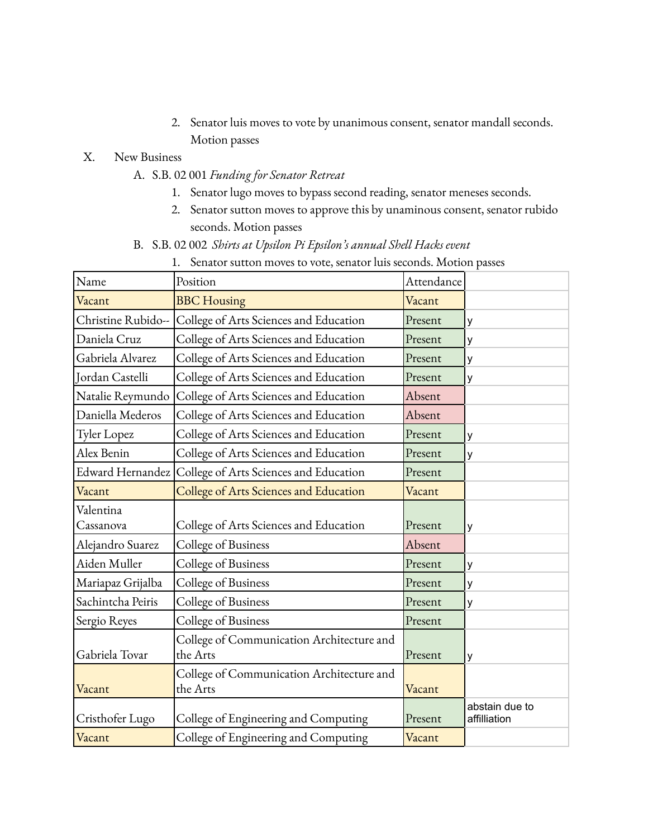2. Senator luis moves to vote by unanimous consent, senator mandall seconds. Motion passes

## X. New Business

- A. S.B. 02 001 *Funding for Senator Retreat*
	- 1. Senator lugo moves to bypass second reading, senator meneses seconds.
	- 2. Senator sutton moves to approve this by unaminous consent, senator rubido seconds. Motion passes
- B. S.B. 02 002 *Shirts at Upsilon Pi Epsilon's annual Shell Hacks event*
	- 1. Senator sutton moves to vote, senator luis seconds. Motion passes

| Name               | Position                                                | Attendance |                                |
|--------------------|---------------------------------------------------------|------------|--------------------------------|
| Vacant             | <b>BBC</b> Housing                                      | Vacant     |                                |
| Christine Rubido-- | College of Arts Sciences and Education                  | Present    | у                              |
| Daniela Cruz       | College of Arts Sciences and Education                  | Present    | у                              |
| Gabriela Alvarez   | College of Arts Sciences and Education                  | Present    | У                              |
| Jordan Castelli    | College of Arts Sciences and Education                  | Present    | у                              |
| Natalie Reymundo   | College of Arts Sciences and Education                  | Absent     |                                |
| Daniella Mederos   | College of Arts Sciences and Education                  | Absent     |                                |
| Tyler Lopez        | College of Arts Sciences and Education                  | Present    | У                              |
| Alex Benin         | College of Arts Sciences and Education                  | Present    | у                              |
|                    | Edward Hernandez College of Arts Sciences and Education | Present    |                                |
| Vacant             | College of Arts Sciences and Education                  | Vacant     |                                |
| Valentina          |                                                         |            |                                |
| Cassanova          | College of Arts Sciences and Education                  | Present    | y                              |
| Alejandro Suarez   | College of Business                                     | Absent     |                                |
| Aiden Muller       | College of Business                                     | Present    | y                              |
| Mariapaz Grijalba  | College of Business                                     | Present    | y                              |
| Sachintcha Peiris  | College of Business                                     | Present    | у                              |
| Sergio Reyes       | College of Business                                     | Present    |                                |
|                    | College of Communication Architecture and               |            |                                |
| Gabriela Tovar     | the Arts                                                | Present    | у                              |
|                    | College of Communication Architecture and               |            |                                |
| Vacant             | the Arts                                                | Vacant     |                                |
| Cristhofer Lugo    | College of Engineering and Computing                    | Present    | abstain due to<br>affilliation |
| Vacant             | College of Engineering and Computing                    | Vacant     |                                |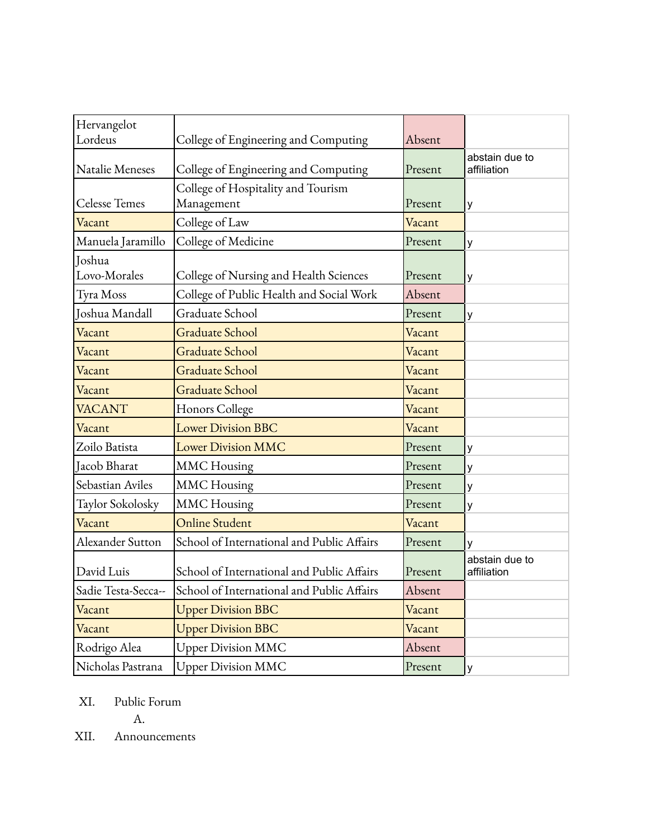| Hervangelot          |                                            |         |                               |
|----------------------|--------------------------------------------|---------|-------------------------------|
| Lordeus              | College of Engineering and Computing       | Absent  |                               |
|                      |                                            |         | abstain due to                |
| Natalie Meneses      | College of Engineering and Computing       | Present | affiliation                   |
|                      | College of Hospitality and Tourism         |         |                               |
| <b>Celesse Temes</b> | Management                                 | Present | y                             |
| Vacant               | College of Law                             | Vacant  |                               |
| Manuela Jaramillo    | College of Medicine                        | Present | y                             |
| Joshua               |                                            |         |                               |
| Lovo-Morales         | College of Nursing and Health Sciences     | Present | y                             |
| Tyra Moss            | College of Public Health and Social Work   | Absent  |                               |
| Joshua Mandall       | Graduate School                            | Present | у                             |
| Vacant               | <b>Graduate School</b>                     | Vacant  |                               |
| Vacant               | <b>Graduate School</b>                     | Vacant  |                               |
| Vacant               | <b>Graduate School</b>                     | Vacant  |                               |
| Vacant               | <b>Graduate School</b>                     | Vacant  |                               |
| <b>VACANT</b>        | Honors College                             | Vacant  |                               |
| Vacant               | <b>Lower Division BBC</b>                  | Vacant  |                               |
| Zoilo Batista        | <b>Lower Division MMC</b>                  | Present | у                             |
| Jacob Bharat         | <b>MMC</b> Housing                         | Present | у                             |
| Sebastian Aviles     | <b>MMC</b> Housing                         | Present | у                             |
| Taylor Sokolosky     | <b>MMC</b> Housing                         | Present | у                             |
| Vacant               | Online Student                             | Vacant  |                               |
| Alexander Sutton     | School of International and Public Affairs | Present | y                             |
| David Luis           | School of International and Public Affairs | Present | abstain due to<br>affiliation |
| Sadie Testa-Secca--  | School of International and Public Affairs | Absent  |                               |
| Vacant               | <b>Upper Division BBC</b>                  | Vacant  |                               |
| Vacant               | <b>Upper Division BBC</b>                  | Vacant  |                               |
| Rodrigo Alea         | <b>Upper Division MMC</b>                  | Absent  |                               |
| Nicholas Pastrana    | <b>Upper Division MMC</b>                  | Present | y                             |

XI. Public Forum

A.

XII. Announcements